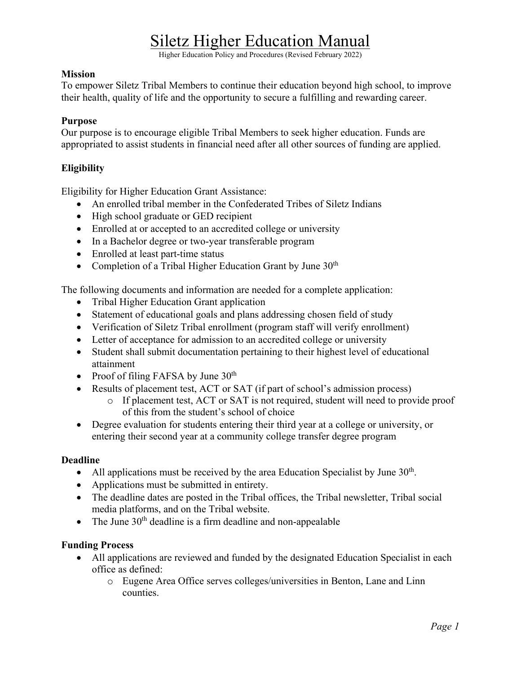Higher Education Policy and Procedures (Revised February 2022)

#### **Mission**

To empower Siletz Tribal Members to continue their education beyond high school, to improve their health, quality of life and the opportunity to secure a fulfilling and rewarding career.

#### **Purpose**

Our purpose is to encourage eligible Tribal Members to seek higher education. Funds are appropriated to assist students in financial need after all other sources of funding are applied.

## **Eligibility**

Eligibility for Higher Education Grant Assistance:

- An enrolled tribal member in the Confederated Tribes of Siletz Indians
- High school graduate or GED recipient
- Enrolled at or accepted to an accredited college or university
- In a Bachelor degree or two-year transferable program
- Enrolled at least part-time status
- Completion of a Tribal Higher Education Grant by June  $30<sup>th</sup>$

The following documents and information are needed for a complete application:

- Tribal Higher Education Grant application
- Statement of educational goals and plans addressing chosen field of study
- Verification of Siletz Tribal enrollment (program staff will verify enrollment)
- Letter of acceptance for admission to an accredited college or university
- Student shall submit documentation pertaining to their highest level of educational attainment
- Proof of filing FAFSA by June  $30<sup>th</sup>$
- Results of placement test, ACT or SAT (if part of school's admission process)
	- o If placement test, ACT or SAT is not required, student will need to provide proof of this from the student's school of choice
- Degree evaluation for students entering their third year at a college or university, or entering their second year at a community college transfer degree program

### **Deadline**

- All applications must be received by the area Education Specialist by June  $30<sup>th</sup>$ .
- Applications must be submitted in entirety.
- The deadline dates are posted in the Tribal offices, the Tribal newsletter, Tribal social media platforms, and on the Tribal website.
- The June  $30<sup>th</sup>$  deadline is a firm deadline and non-appealable

### **Funding Process**

- All applications are reviewed and funded by the designated Education Specialist in each office as defined:
	- o Eugene Area Office serves colleges/universities in Benton, Lane and Linn counties.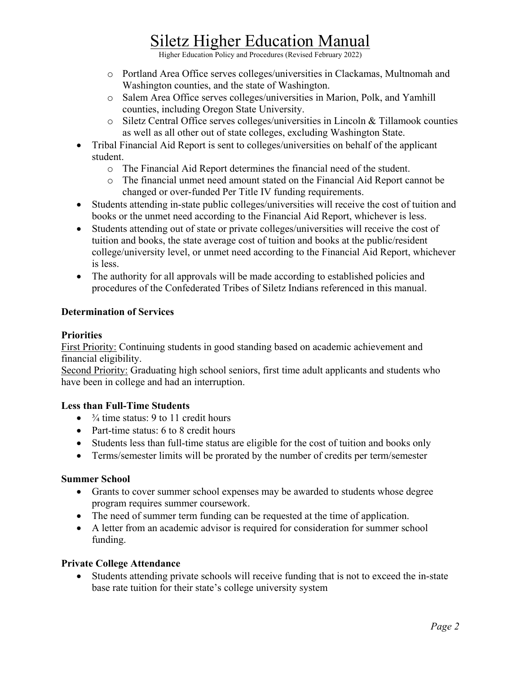Higher Education Policy and Procedures (Revised February 2022)

- o Portland Area Office serves colleges/universities in Clackamas, Multnomah and Washington counties, and the state of Washington.
- o Salem Area Office serves colleges/universities in Marion, Polk, and Yamhill counties, including Oregon State University.
- o Siletz Central Office serves colleges/universities in Lincoln & Tillamook counties as well as all other out of state colleges, excluding Washington State.
- Tribal Financial Aid Report is sent to colleges/universities on behalf of the applicant student.
	- o The Financial Aid Report determines the financial need of the student.
	- o The financial unmet need amount stated on the Financial Aid Report cannot be changed or over-funded Per Title IV funding requirements.
- Students attending in-state public colleges/universities will receive the cost of tuition and books or the unmet need according to the Financial Aid Report, whichever is less.
- Students attending out of state or private colleges/universities will receive the cost of tuition and books, the state average cost of tuition and books at the public/resident college/university level, or unmet need according to the Financial Aid Report, whichever is less.
- The authority for all approvals will be made according to established policies and procedures of the Confederated Tribes of Siletz Indians referenced in this manual.

# **Determination of Services**

## **Priorities**

First Priority: Continuing students in good standing based on academic achievement and financial eligibility.

Second Priority: Graduating high school seniors, first time adult applicants and students who have been in college and had an interruption.

### **Less than Full-Time Students**

- $\bullet$   $\frac{3}{4}$  time status: 9 to 11 credit hours
- Part-time status: 6 to 8 credit hours
- Students less than full-time status are eligible for the cost of tuition and books only
- Terms/semester limits will be prorated by the number of credits per term/semester

#### **Summer School**

- Grants to cover summer school expenses may be awarded to students whose degree program requires summer coursework.
- The need of summer term funding can be requested at the time of application.
- A letter from an academic advisor is required for consideration for summer school funding.

### **Private College Attendance**

• Students attending private schools will receive funding that is not to exceed the in-state base rate tuition for their state's college university system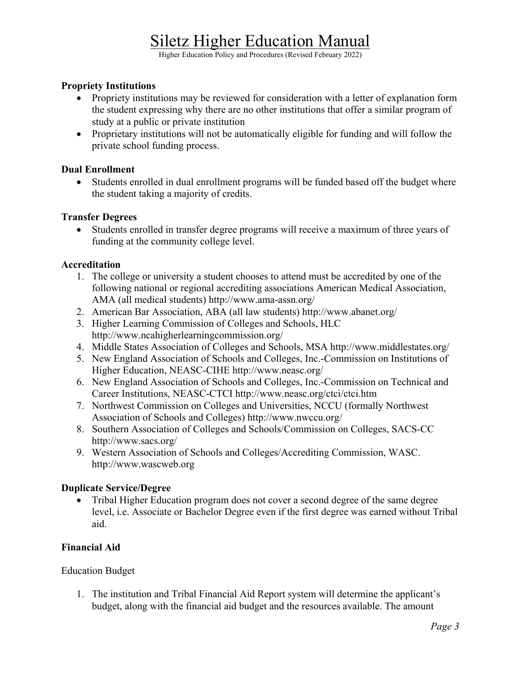Higher Education Policy and Procedures (Revised February 2022)

#### **Propriety Institutions**

- Propriety institutions may be reviewed for consideration with a letter of explanation form the student expressing why there are no other institutions that offer a similar program of study at a public or private institution
- Proprietary institutions will not be automatically eligible for funding and will follow the private school funding process.

#### **Dual Enrollment**

• Students enrolled in dual enrollment programs will be funded based off the budget where the student taking a majority of credits.

#### **Transfer Degrees**

• Students enrolled in transfer degree programs will receive a maximum of three years of funding at the community college level.

#### **Accreditation**

- 1. The college or university a student chooses to attend must be accredited by one of the following national or regional accrediting associations American Medical Association, AMA (all medical students)<http://www.ama-assn.org/>
- 2. American Bar Association, ABA (all law students)<http://www.abanet.org/>
- 3. Higher Learning Commission of Colleges and Schools, HLC <http://www.ncahigherlearningcommission.org/>
- 4. Middle States Association of Colleges and Schools, MSA<http://www.middlestates.org/>
- 5. New England Association of Schools and Colleges, Inc.-Commission on Institutions of Higher Education, NEASC-CIHE<http://www.neasc.org/>
- 6. New England Association of Schools and Colleges, Inc.-Commission on Technical and Career Institutions, NEASC-CTCI<http://www.neasc.org/ctci/ctci.htm>
- 7. Northwest Commission on Colleges and Universities, NCCU (formally Northwest Association of Schools and Colleges) http://www.nwccu.org/
- 8. Southern Association of Colleges and Schools/Commission on Colleges, SACS-CC http://www.sacs.org/
- 9. Western Association of Schools and Colleges/Accrediting Commission, WASC. http://www.wascweb.org

#### **Duplicate Service/Degree**

• Tribal Higher Education program does not cover a second degree of the same degree level, i.e. Associate or Bachelor Degree even if the first degree was earned without Tribal aid.

#### **Financial Aid**

Education Budget

1. The institution and Tribal Financial Aid Report system will determine the applicant's budget, along with the financial aid budget and the resources available. The amount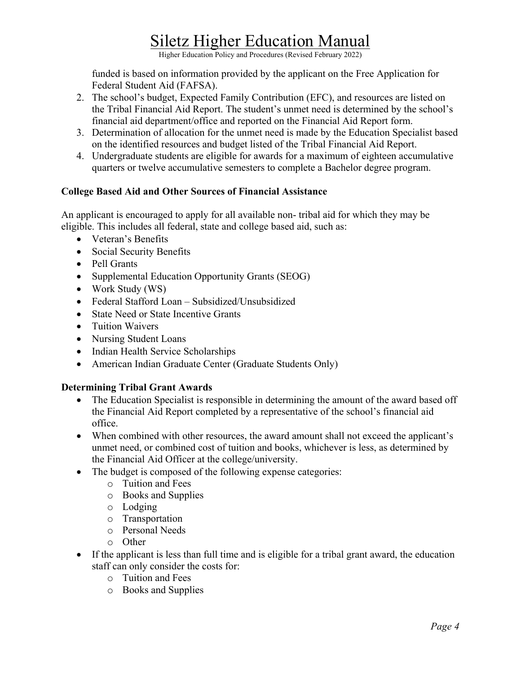Higher Education Policy and Procedures (Revised February 2022)

funded is based on information provided by the applicant on the Free Application for Federal Student Aid (FAFSA).

- 2. The school's budget, Expected Family Contribution (EFC), and resources are listed on the Tribal Financial Aid Report. The student's unmet need is determined by the school's financial aid department/office and reported on the Financial Aid Report form.
- 3. Determination of allocation for the unmet need is made by the Education Specialist based on the identified resources and budget listed of the Tribal Financial Aid Report.
- 4. Undergraduate students are eligible for awards for a maximum of eighteen accumulative quarters or twelve accumulative semesters to complete a Bachelor degree program.

### **College Based Aid and Other Sources of Financial Assistance**

An applicant is encouraged to apply for all available non- tribal aid for which they may be eligible. This includes all federal, state and college based aid, such as:

- Veteran's Benefits
- Social Security Benefits
- Pell Grants
- Supplemental Education Opportunity Grants (SEOG)
- Work Study (WS)
- Federal Stafford Loan Subsidized/Unsubsidized
- State Need or State Incentive Grants
- Tuition Waivers
- Nursing Student Loans
- Indian Health Service Scholarships
- American Indian Graduate Center (Graduate Students Only)

### **Determining Tribal Grant Awards**

- The Education Specialist is responsible in determining the amount of the award based off the Financial Aid Report completed by a representative of the school's financial aid office.
- When combined with other resources, the award amount shall not exceed the applicant's unmet need, or combined cost of tuition and books, whichever is less, as determined by the Financial Aid Officer at the college/university.
- The budget is composed of the following expense categories:
	- o Tuition and Fees
	- o Books and Supplies
	- o Lodging
	- o Transportation
	- o Personal Needs
	- o Other
- If the applicant is less than full time and is eligible for a tribal grant award, the education staff can only consider the costs for:
	- o Tuition and Fees
	- o Books and Supplies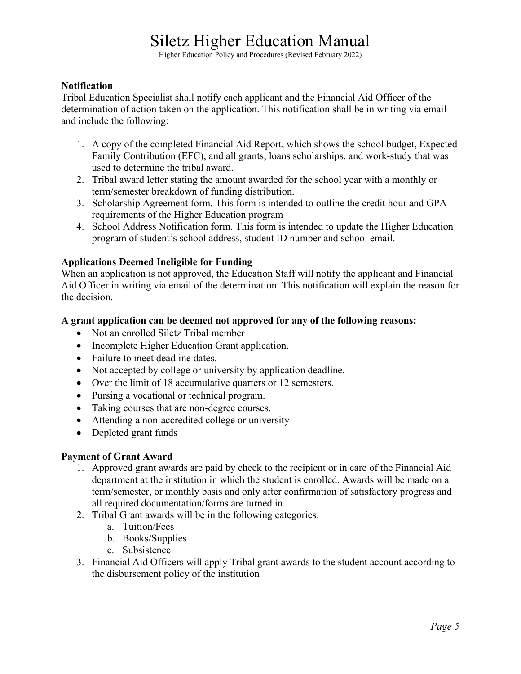Higher Education Policy and Procedures (Revised February 2022)

#### **Notification**

Tribal Education Specialist shall notify each applicant and the Financial Aid Officer of the determination of action taken on the application. This notification shall be in writing via email and include the following:

- 1. A copy of the completed Financial Aid Report, which shows the school budget, Expected Family Contribution (EFC), and all grants, loans scholarships, and work-study that was used to determine the tribal award.
- 2. Tribal award letter stating the amount awarded for the school year with a monthly or term/semester breakdown of funding distribution.
- 3. Scholarship Agreement form. This form is intended to outline the credit hour and GPA requirements of the Higher Education program
- 4. School Address Notification form. This form is intended to update the Higher Education program of student's school address, student ID number and school email.

#### **Applications Deemed Ineligible for Funding**

When an application is not approved, the Education Staff will notify the applicant and Financial Aid Officer in writing via email of the determination. This notification will explain the reason for the decision.

#### **A grant application can be deemed not approved for any of the following reasons:**

- Not an enrolled Siletz Tribal member
- Incomplete Higher Education Grant application.
- Failure to meet deadline dates.
- Not accepted by college or university by application deadline.
- Over the limit of 18 accumulative quarters or 12 semesters.
- Pursing a vocational or technical program.
- Taking courses that are non-degree courses.
- Attending a non-accredited college or university
- Depleted grant funds

#### **Payment of Grant Award**

- 1. Approved grant awards are paid by check to the recipient or in care of the Financial Aid department at the institution in which the student is enrolled. Awards will be made on a term/semester, or monthly basis and only after confirmation of satisfactory progress and all required documentation/forms are turned in.
- 2. Tribal Grant awards will be in the following categories:
	- a. Tuition/Fees
	- b. Books/Supplies
	- c. Subsistence
- 3. Financial Aid Officers will apply Tribal grant awards to the student account according to the disbursement policy of the institution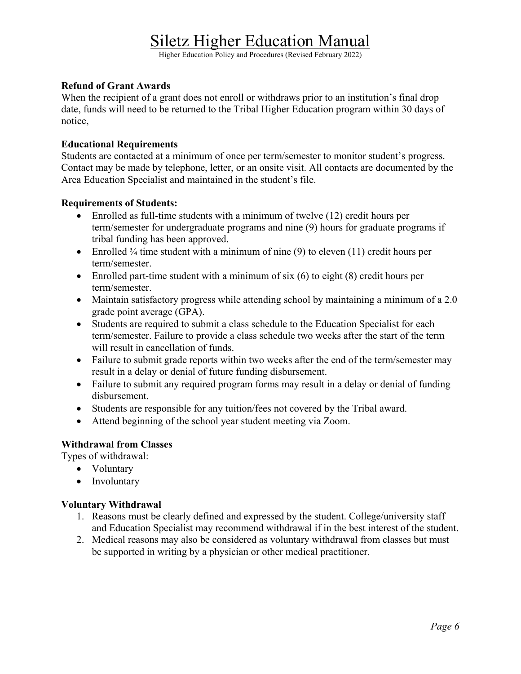Higher Education Policy and Procedures (Revised February 2022)

#### **Refund of Grant Awards**

When the recipient of a grant does not enroll or withdraws prior to an institution's final drop date, funds will need to be returned to the Tribal Higher Education program within 30 days of notice,

#### **Educational Requirements**

Students are contacted at a minimum of once per term/semester to monitor student's progress. Contact may be made by telephone, letter, or an onsite visit. All contacts are documented by the Area Education Specialist and maintained in the student's file.

#### **Requirements of Students:**

- Enrolled as full-time students with a minimum of twelve (12) credit hours per term/semester for undergraduate programs and nine (9) hours for graduate programs if tribal funding has been approved.
- Enrolled  $\frac{3}{4}$  time student with a minimum of nine (9) to eleven (11) credit hours per term/semester.
- Enrolled part-time student with a minimum of six  $(6)$  to eight  $(8)$  credit hours per term/semester.
- Maintain satisfactory progress while attending school by maintaining a minimum of a 2.0 grade point average (GPA).
- Students are required to submit a class schedule to the Education Specialist for each term/semester. Failure to provide a class schedule two weeks after the start of the term will result in cancellation of funds.
- Failure to submit grade reports within two weeks after the end of the term/semester may result in a delay or denial of future funding disbursement.
- Failure to submit any required program forms may result in a delay or denial of funding disbursement.
- Students are responsible for any tuition/fees not covered by the Tribal award.
- Attend beginning of the school year student meeting via Zoom.

### **Withdrawal from Classes**

Types of withdrawal:

- Voluntary
- Involuntary

### **Voluntary Withdrawal**

- 1. Reasons must be clearly defined and expressed by the student. College/university staff and Education Specialist may recommend withdrawal if in the best interest of the student.
- 2. Medical reasons may also be considered as voluntary withdrawal from classes but must be supported in writing by a physician or other medical practitioner.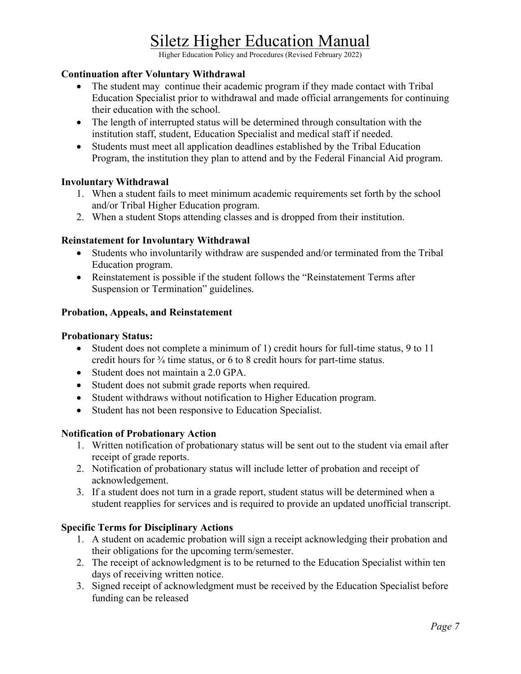Higher Education Policy and Procedures (Revised February 2022)

#### **Continuation after Voluntary Withdrawal**

- The student may continue their academic program if they made contact with Tribal Education Specialist prior to withdrawal and made official arrangements for continuing their education with the school.
- The length of interrupted status will be determined through consultation with the institution staff, student, Education Specialist and medical staff if needed.
- Students must meet all application deadlines established by the Tribal Education Program, the institution they plan to attend and by the Federal Financial Aid program.

#### **Involuntary Withdrawal**

- 1. When a student fails to meet minimum academic requirements set forth by the school and/or Tribal Higher Education program.
- 2. When a student Stops attending classes and is dropped from their institution.

#### **Reinstatement for Involuntary Withdrawal**

- Students who involuntarily withdraw are suspended and/or terminated from the Tribal Education program.
- Reinstatement is possible if the student follows the "Reinstatement Terms after Suspension or Termination" guidelines.

#### **Probation, Appeals, and Reinstatement**

#### **Probationary Status:**

- Student does not complete a minimum of 1) credit hours for full-time status, 9 to 11 credit hours for ¾ time status, or 6 to 8 credit hours for part-time status.
- Student does not maintain a 2.0 GPA.
- Student does not submit grade reports when required.
- Student withdraws without notification to Higher Education program.
- Student has not been responsive to Education Specialist.

#### **Notification of Probationary Action**

- 1. Written notification of probationary status will be sent out to the student via email after receipt of grade reports.
- 2. Notification of probationary status will include letter of probation and receipt of acknowledgement.
- 3. If a student does not turn in a grade report, student status will be determined when a student reapplies for services and is required to provide an updated unofficial transcript.

#### **Specific Terms for Disciplinary Actions**

- 1. A student on academic probation will sign a receipt acknowledging their probation and their obligations for the upcoming term/semester.
- 2. The receipt of acknowledgment is to be returned to the Education Specialist within ten days of receiving written notice.
- 3. Signed receipt of acknowledgment must be received by the Education Specialist before funding can be released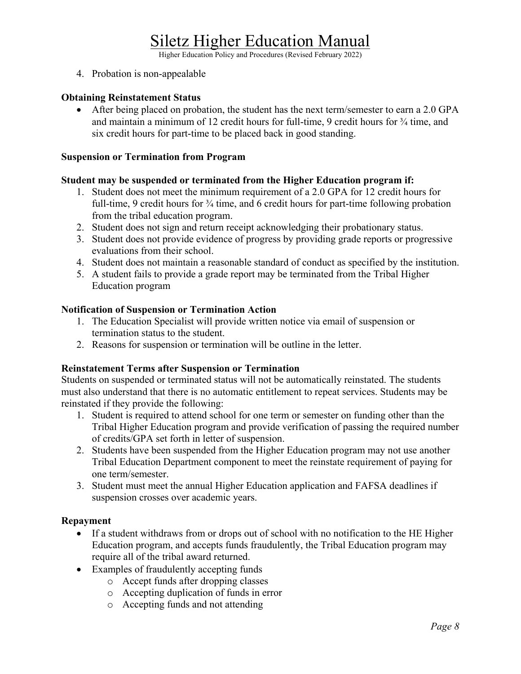Higher Education Policy and Procedures (Revised February 2022)

4. Probation is non-appealable

#### **Obtaining Reinstatement Status**

• After being placed on probation, the student has the next term/semester to earn a 2.0 GPA and maintain a minimum of 12 credit hours for full-time, 9 credit hours for  $\frac{3}{4}$  time, and six credit hours for part-time to be placed back in good standing.

#### **Suspension or Termination from Program**

#### **Student may be suspended or terminated from the Higher Education program if:**

- 1. Student does not meet the minimum requirement of a 2.0 GPA for 12 credit hours for full-time, 9 credit hours for  $\frac{3}{4}$  time, and 6 credit hours for part-time following probation from the tribal education program.
- 2. Student does not sign and return receipt acknowledging their probationary status.
- 3. Student does not provide evidence of progress by providing grade reports or progressive evaluations from their school.
- 4. Student does not maintain a reasonable standard of conduct as specified by the institution.
- 5. A student fails to provide a grade report may be terminated from the Tribal Higher Education program

#### **Notification of Suspension or Termination Action**

- 1. The Education Specialist will provide written notice via email of suspension or termination status to the student.
- 2. Reasons for suspension or termination will be outline in the letter.

#### **Reinstatement Terms after Suspension or Termination**

Students on suspended or terminated status will not be automatically reinstated. The students must also understand that there is no automatic entitlement to repeat services. Students may be reinstated if they provide the following:

- 1. Student is required to attend school for one term or semester on funding other than the Tribal Higher Education program and provide verification of passing the required number of credits/GPA set forth in letter of suspension.
- 2. Students have been suspended from the Higher Education program may not use another Tribal Education Department component to meet the reinstate requirement of paying for one term/semester.
- 3. Student must meet the annual Higher Education application and FAFSA deadlines if suspension crosses over academic years.

#### **Repayment**

- If a student withdraws from or drops out of school with no notification to the HE Higher Education program, and accepts funds fraudulently, the Tribal Education program may require all of the tribal award returned.
- Examples of fraudulently accepting funds
	- o Accept funds after dropping classes
	- o Accepting duplication of funds in error
	- o Accepting funds and not attending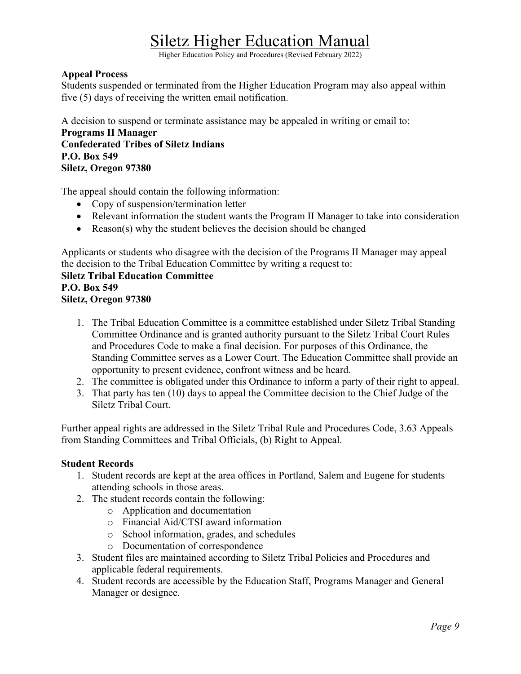Higher Education Policy and Procedures (Revised February 2022)

#### **Appeal Process**

Students suspended or terminated from the Higher Education Program may also appeal within five (5) days of receiving the written email notification.

A decision to suspend or terminate assistance may be appealed in writing or email to:

**Programs II Manager Confederated Tribes of Siletz Indians P.O. Box 549 Siletz, Oregon 97380**

The appeal should contain the following information:

- Copy of suspension/termination letter
- Relevant information the student wants the Program II Manager to take into consideration
- Reason(s) why the student believes the decision should be changed

Applicants or students who disagree with the decision of the Programs II Manager may appeal the decision to the Tribal Education Committee by writing a request to:

# **Siletz Tribal Education Committee**

#### **P.O. Box 549 Siletz, Oregon 97380**

- 1. The Tribal Education Committee is a committee established under Siletz Tribal Standing Committee Ordinance and is granted authority pursuant to the Siletz Tribal Court Rules and Procedures Code to make a final decision. For purposes of this Ordinance, the Standing Committee serves as a Lower Court. The Education Committee shall provide an opportunity to present evidence, confront witness and be heard.
- 2. The committee is obligated under this Ordinance to inform a party of their right to appeal.
- 3. That party has ten (10) days to appeal the Committee decision to the Chief Judge of the Siletz Tribal Court.

Further appeal rights are addressed in the Siletz Tribal Rule and Procedures Code, 3.63 Appeals from Standing Committees and Tribal Officials, (b) Right to Appeal.

#### **Student Records**

- 1. Student records are kept at the area offices in Portland, Salem and Eugene for students attending schools in those areas.
- 2. The student records contain the following:
	- o Application and documentation
	- o Financial Aid/CTSI award information
	- o School information, grades, and schedules
	- o Documentation of correspondence
- 3. Student files are maintained according to Siletz Tribal Policies and Procedures and applicable federal requirements.
- 4. Student records are accessible by the Education Staff, Programs Manager and General Manager or designee.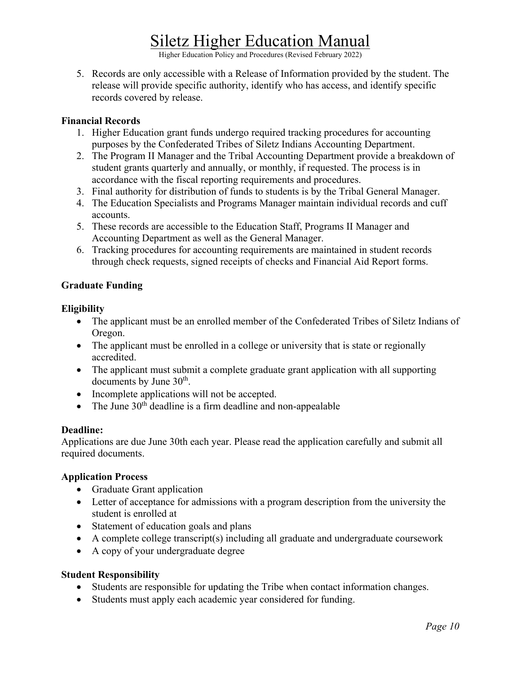Higher Education Policy and Procedures (Revised February 2022)

5. Records are only accessible with a Release of Information provided by the student. The release will provide specific authority, identify who has access, and identify specific records covered by release.

#### **Financial Records**

- 1. Higher Education grant funds undergo required tracking procedures for accounting purposes by the Confederated Tribes of Siletz Indians Accounting Department.
- 2. The Program II Manager and the Tribal Accounting Department provide a breakdown of student grants quarterly and annually, or monthly, if requested. The process is in accordance with the fiscal reporting requirements and procedures.
- 3. Final authority for distribution of funds to students is by the Tribal General Manager.
- 4. The Education Specialists and Programs Manager maintain individual records and cuff accounts.
- 5. These records are accessible to the Education Staff, Programs II Manager and Accounting Department as well as the General Manager.
- 6. Tracking procedures for accounting requirements are maintained in student records through check requests, signed receipts of checks and Financial Aid Report forms.

### **Graduate Funding**

#### **Eligibility**

- The applicant must be an enrolled member of the Confederated Tribes of Siletz Indians of Oregon.
- The applicant must be enrolled in a college or university that is state or regionally accredited.
- The applicant must submit a complete graduate grant application with all supporting documents by June 30<sup>th</sup>.
- Incomplete applications will not be accepted.
- The June  $30<sup>th</sup>$  deadline is a firm deadline and non-appealable

#### **Deadline:**

Applications are due June 30th each year. Please read the application carefully and submit all required documents.

#### **Application Process**

- Graduate Grant application
- Letter of acceptance for admissions with a program description from the university the student is enrolled at
- Statement of education goals and plans
- A complete college transcript(s) including all graduate and undergraduate coursework
- A copy of your undergraduate degree

#### **Student Responsibility**

- Students are responsible for updating the Tribe when contact information changes.
- Students must apply each academic year considered for funding.